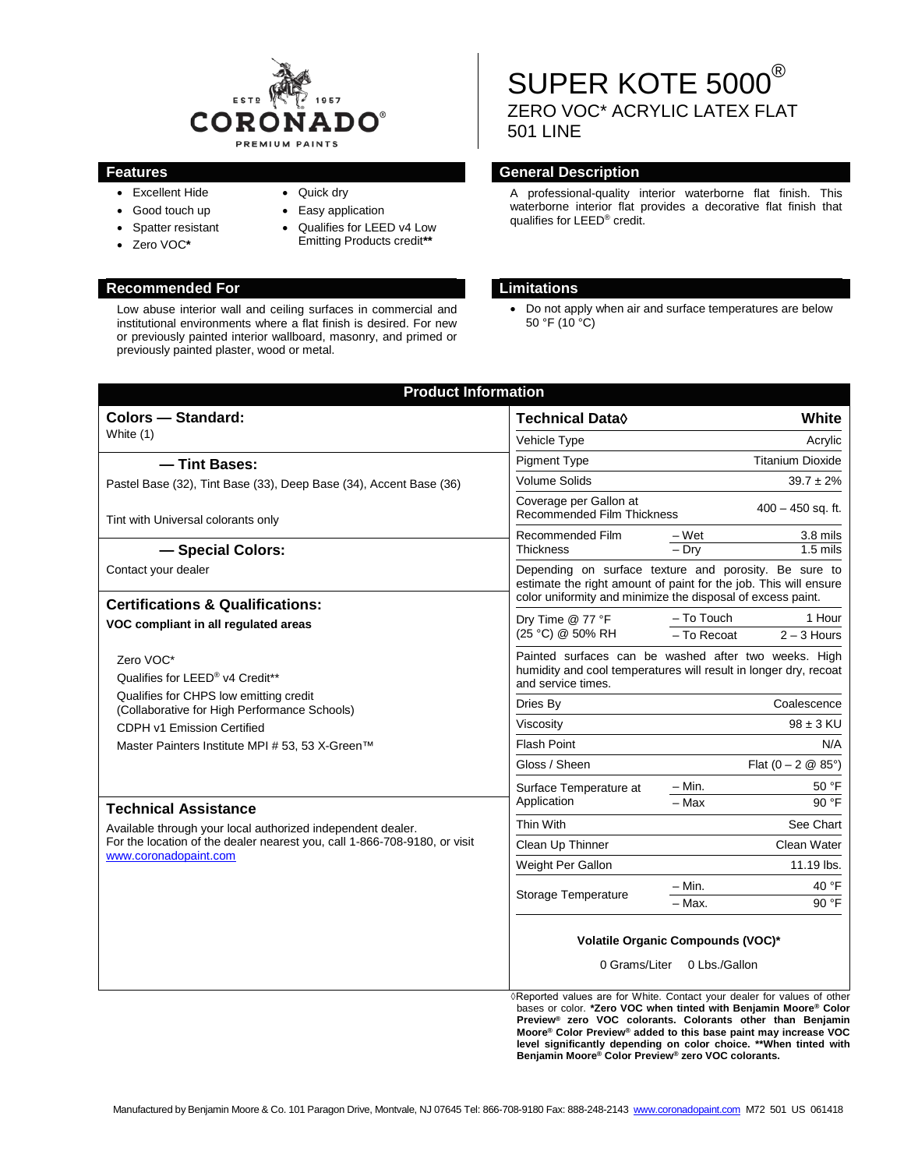

- Excellent Hide • Good touch up
- Quick dry
- Spatter resistant
- Zero VOC**\***
- Easy application
- Qualifies for LEED v4 Low
	- Emitting Products credit**\*\***

# **Recommended For Limitations**

Low abuse interior wall and ceiling surfaces in commercial and institutional environments where a flat finish is desired. For new or previously painted interior wallboard, masonry, and primed or previously painted plaster, wood or metal.

# SUPER KOTE 5000<sup>®</sup> ZERO VOC\* ACRYLIC LATEX FLAT 501 LINE

## **Features General Description**

A professional-quality interior waterborne flat finish. This waterborne interior flat provides a decorative flat finish that qualifies for LEED® credit.

• Do not apply when air and surface temperatures are below 50 °F (10 °C)

| <b>Product Information</b>                                                                                                                                                                       |                                                                                                                                                                                          |                              |                         |  |
|--------------------------------------------------------------------------------------------------------------------------------------------------------------------------------------------------|------------------------------------------------------------------------------------------------------------------------------------------------------------------------------------------|------------------------------|-------------------------|--|
| <b>Colors - Standard:</b>                                                                                                                                                                        | <b>Technical Data</b> ♦                                                                                                                                                                  |                              | White                   |  |
| White (1)                                                                                                                                                                                        | Vehicle Type                                                                                                                                                                             |                              | Acrylic                 |  |
| - Tint Bases:                                                                                                                                                                                    | <b>Pigment Type</b>                                                                                                                                                                      | <b>Titanium Dioxide</b>      |                         |  |
| Pastel Base (32), Tint Base (33), Deep Base (34), Accent Base (36)                                                                                                                               | <b>Volume Solids</b>                                                                                                                                                                     | $39.7 \pm 2\%$               |                         |  |
| Tint with Universal colorants only                                                                                                                                                               | Coverage per Gallon at<br><b>Recommended Film Thickness</b>                                                                                                                              | $400 - 450$ sq. ft.          |                         |  |
|                                                                                                                                                                                                  | Recommended Film                                                                                                                                                                         | – Wet                        | 3.8 mils                |  |
| - Special Colors:                                                                                                                                                                                | <b>Thickness</b>                                                                                                                                                                         | $-$ Dry                      | $1.5$ mils              |  |
| Contact your dealer                                                                                                                                                                              | Depending on surface texture and porosity. Be sure to<br>estimate the right amount of paint for the job. This will ensure<br>color uniformity and minimize the disposal of excess paint. |                              |                         |  |
| <b>Certifications &amp; Qualifications:</b><br>VOC compliant in all regulated areas                                                                                                              | Dry Time @ 77 °F<br>(25 °C) @ 50% RH                                                                                                                                                     | - To Touch<br>- To Recoat    | 1 Hour<br>$2 - 3$ Hours |  |
| Zero VOC*<br>Qualifies for LEED® v4 Credit**                                                                                                                                                     | Painted surfaces can be washed after two weeks. High<br>humidity and cool temperatures will result in longer dry, recoat<br>and service times.                                           |                              |                         |  |
| Qualifies for CHPS low emitting credit<br>(Collaborative for High Performance Schools)                                                                                                           | Dries By                                                                                                                                                                                 | Coalescence                  |                         |  |
| CDPH v1 Emission Certified                                                                                                                                                                       | Viscosity                                                                                                                                                                                | $98 \pm 3$ KU                |                         |  |
| Master Painters Institute MPI # 53, 53 X-Green™                                                                                                                                                  | <b>Flash Point</b>                                                                                                                                                                       |                              | N/A                     |  |
|                                                                                                                                                                                                  | Gloss / Sheen                                                                                                                                                                            | Flat $(0 - 2 \& 85^{\circ})$ |                         |  |
|                                                                                                                                                                                                  | Surface Temperature at<br>Application                                                                                                                                                    | – Min.                       | 50 °F                   |  |
| <b>Technical Assistance</b><br>Available through your local authorized independent dealer.<br>For the location of the dealer nearest you, call 1-866-708-9180, or visit<br>www.coronadopaint.com |                                                                                                                                                                                          | $-$ Max                      | 90 °F                   |  |
|                                                                                                                                                                                                  | Thin With                                                                                                                                                                                |                              | See Chart               |  |
|                                                                                                                                                                                                  | Clean Up Thinner                                                                                                                                                                         |                              | Clean Water             |  |
|                                                                                                                                                                                                  | Weight Per Gallon                                                                                                                                                                        |                              | 11.19 lbs.              |  |
|                                                                                                                                                                                                  | Storage Temperature                                                                                                                                                                      | $-$ Min.<br>- Max.           | 40 $\degree$ F<br>90 °F |  |
|                                                                                                                                                                                                  | Volatile Organic Compounds (VOC)*<br>0 Grams/Liter 0 Lbs./Gallon<br>◊ Reported values are for White. Contact your dealer for values of other                                             |                              |                         |  |

 **Preview® zero VOC colorants. Colorants other than Benjamin Moore® Color Preview® added to this base paint may increase VOC level significantly depending on color choice. \*\*When tinted with Benjamin Moore® Color Preview® zero VOC colorants.**